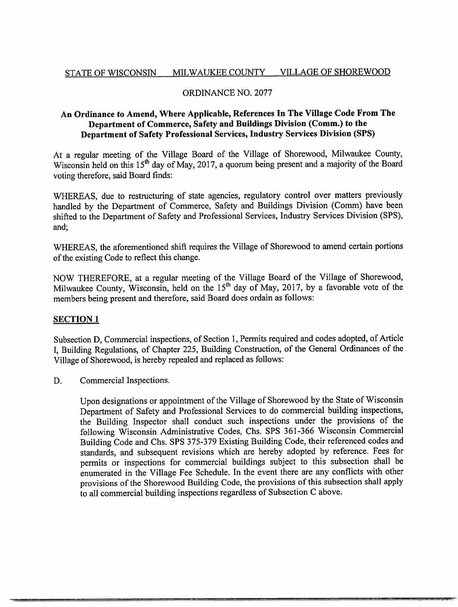# STATE OF WISCONSIN MILWAUKEE COUNTY VILLAGE OF SHOREWOOD

## ORDINANCE NO. 2077

# An Ordinance to Amend, Where Applicable, References In The Village Code From The Department of Commerce, Safety and Buildings Division (Comm.) to the Department of Safety Professional Services, Industry Services Division (SPS)

At a regular meeting of the Village Board of the Village of Shorewood, Milwaukee County, Wisconsin held on this 15<sup>th</sup> day of May, 2017, a quorum being present and a majority of the Board voting therefore, said Board finds:

WHEREAS, due to restructuring of state agencies, regulatory control over matters previously handled by the Department of Commerce, Safety and Buildings Division (Comm) have been shifted to the Department of Safety and Professional Services, Industry Services Division (SPS), and;

WHEREAS, the aforementioned shift requires the Village of Shorewood to amend certain portions of the existing Code to reflect this change.

NOW THEREFORE, at a regular meeting of the Village Board of the Village of Shorewood, Milwaukee County, Wisconsin, held on the  $15<sup>th</sup>$  day of May, 2017, by a favorable vote of the members being present and therefore, said Board does ordain as follows:

### **SECTION 1**

Subsection D, Commercial inspections, of Section 1, Permits required and codes adopted, of Article I, Building Regulations, of Chapter 225, Building Construction, of the General Ordinances of the Village of Shorewood, is hereby repealed and replaced as follows:

D. Commercial Inspections.

Upon designations or appointment of the Village of Shorewood by the State of Wisconsin Department of Safety and Professional Services to do commercial building inspections, the Building Inspector shall conduct such inspections under the provisions of the following Wisconsin Administrative Codes, Chs. SPS 361-366 Wisconsin Commercial Building Code and Chs. SPS 375-379 Existing Building Code, their referenced codes and standards, and subsequent revisions which are hereby adopted by reference. Fees for permits or inspections for commercial buildings subject to this subsection shall be enumerated in the Village Fee Schedule. In the event there are any conflicts with other provisions of the Shorewood Building Code, the provisions of this subsection shall apply to all commercial building inspections regardless of Subsection C above.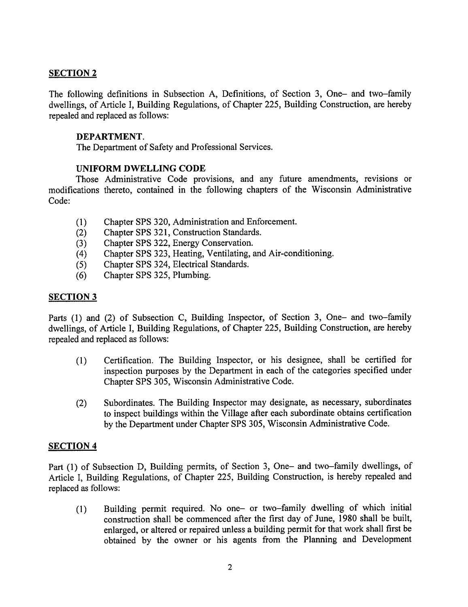## **SECTION 2**

The following definitions in Subsection A, Definitions, of Section 3, One- and two-family dwellings, of Article I, Building Regulations, of Chapter 225, Building Construction, are hereby repealed and replaced as follows:

### DEPARTMENT.

The Department of Safety and Professional Services.

#### UNIFORM DWELLING CODE

Those Administrative Code provisions, and any future amendments, revisions or modifications thereto, contained in the following chapters of the Wisconsin Administrative Code:

- (1) Chapter SPS 320, Administration and Enforcement.
- (2) Chapter SPS 321, Construction Standards.
- (3) Chapter SPS 322, Energy Conservation.
- (4) Chapter SPS 323, Heating, Ventilating, and Air-conditioning.
- (5) Chapter SPS 324, Electrical Standards.
- (6) Chapter SPS 325, Plumbing.

## **SECTION 3**

Parts (1) and (2) of Subsection C, Building Inspector, of Section 3, One- and two-family dwellings, of Article I, Building Regulations, of Chapter 225, Building Construction, are hereby repealed and replaced as follows:

- (1) Certification. The Building Inspector, or his designee, shall be certified for inspection purposes by the Department in each of the categories specified under Chapter SPS 305, Wisconsin Administrative Code.
- (2) Subordinates. The Building Inspector may designate, as necessary, subordinates to inspect buildings within the Village after each subordinate obtains certification by the Department under Chapter SPS 305, Wisconsin Administrative Code.

## **SECTION 4**

Part (1) of Subsection D, Building permits, of Section 3, One- and two-family dwellings, of Article I, Building Regulations, of Chapter 225, Building Construction, is hereby repealed and replaced as follows:

(1) Building permit required. No one- or two-family dwelling of which initial construction shall be commenced after the first day of June, 1980 shall be built, enlarged, or altered or repaired unless a building permit for that work shall first be obtained by the owner or his agents from the Planning and Development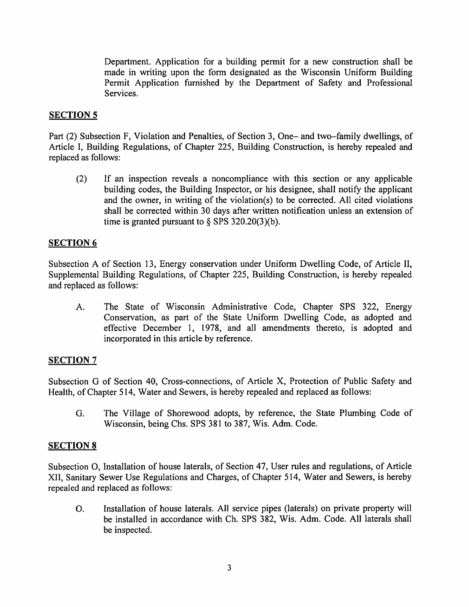Department. Application for a building permit for a new construction shall be made in writing upon the form designated as the Wisconsin Uniform Building Permit Application furnished by the Department of Safety and Professional Services.

#### **SECTION 5**

Part (2) Subsection F, Violation and Penalties, of Section 3, One- and two-family dwellings, of Article I, Building Regulations, of Chapter 225, Building Construction, is hereby repealed and replaced as follows:

(2) If an inspection reveals a noncompliance with this section or any applicable building codes, the Building Inspector, or his designee, shall notify the applicant and the owner, in writing of the violation(s) to be corrected. All cited violations shall be corrected within 30 days after written notification unless an extension of time is granted pursuant to  $\S$  SPS 320.20(3)(b).

#### SECTION 6

Subsection A of Section 13, Energy conservation under Uniform Dwelling Code, of Article II, Supplemental Building Regulations, of Chapter 225, Building Construction, is hereby repealed and replaced as follows:

A. The State of Wisconsin Administrative Code, Chapter SPS 322, Energy Conservation, as part of the State Uniform Dwelling Code, as adopted and effective December 1, 1978, and all amendments thereto, is adopted and incorporated in this article by reference.

#### **SECTION 7**

Subsection G of Section 40, Cross-connections, of Article X, Protection of Public Safety and Health, of Chapter 514, Water and Sewers, is hereby repealed and replaced as follows:

G. The Village of Shorewood adopts, by reference, the State Plumbing Code of Wisconsin, being Chs. SPS 381 to 387, Wis. Adm. Code.

#### SECTION 8

Subsection O, Installation of house laterals, of Section 47, User rules and regulations, of Article XII, Sanitary Sewer Use Regulations and Charges, of Chapter 514, Water and Sewers, is hereby repealed and replaced as follows:

O. Installation of house laterals. All service pipes (laterals) on private property will be installed in accordance with Ch. SPS 382, Wis. Adm. Code. All laterals shall be inspected.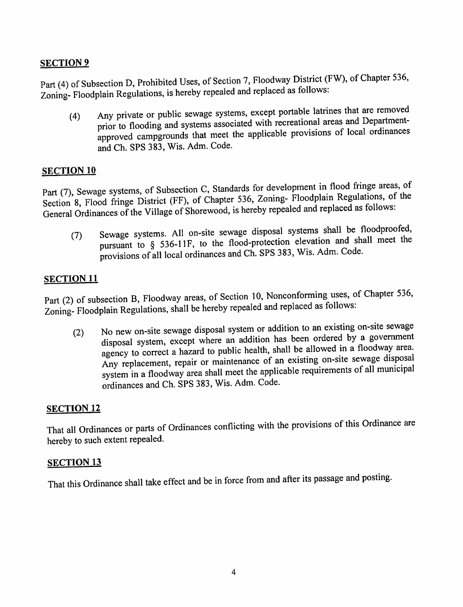# **SECTION 9**

Part (4) of Subsection D, Prohibited Uses, of Section 7, Floodway District (FW), of Chapter 536, Zoning- Floodplain Regulations, is hereby repealed and replaced as follows:

(4) Any private or public sewage systems, except portable latrines that are removed prior to flooding and systems associated with recreational areas and Departmentapproved campgrounds that meet the applicable provisions of local ordinances and Ch. SPS 383, Wis. Adm. Code.

### SECTION<sub>10</sub>

Part (7), Sewage systems, of Subsection C, Standards for development in flood fringe areas, of Section 8, Flood fringe District (FF), of Chapter 536, Zoning- Floodplain Regulations, of the General Ordinances of the Village of Shorewood, is hereby repealed and replaced as follows.

(1) Sewage systems. All on-site sewage disposal systems shall be floodproofed, pursuant to § 536-11F, to the flood-protection elevation and shall meet the provisions of all local ordinances and Ch. SPS 383, Wis. Adm. Code.

# SECTION <sup>11</sup>

Part (2) of subsection B, Floodway areas, of Section 10, Nonconforming uses, of Chapter 536, Zoning- Floodplain Regulations, shall be hereby repealed and replaced as follows:

(2) No new on-site sewage disposal system or addition to an existing on-site sewage disposal system, except where an addition has been ordered by a government agency to correct a hazard to public health, shall be allowed in a floodway area. Any replacement, repair or maintenance of an existing on-site sewage disposa system in a floodway area shall meet the applicable requirements of all municipal ordinances and Ch. SPS 383, Wis. Adm. Code.

### SECTION 12

That all Ordinances or parts of Ordinances conflicting with the provisions of this Ordinance are hereby to such extent repealed.

### SECTION 13

That this Ordinance shall take effect and be in force from and after its passage and posting.